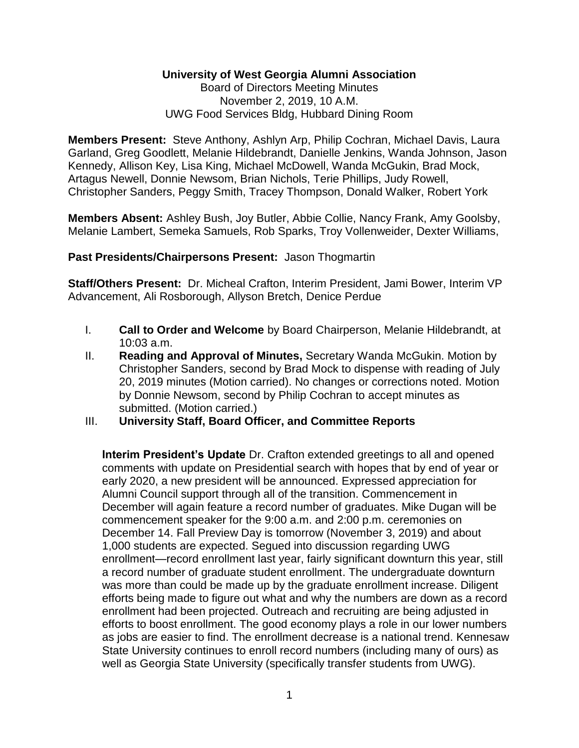# **University of West Georgia Alumni Association**

Board of Directors Meeting Minutes November 2, 2019, 10 A.M. UWG Food Services Bldg, Hubbard Dining Room

**Members Present:** Steve Anthony, Ashlyn Arp, Philip Cochran, Michael Davis, Laura Garland, Greg Goodlett, Melanie Hildebrandt, Danielle Jenkins, Wanda Johnson, Jason Kennedy, Allison Key, Lisa King, Michael McDowell, Wanda McGukin, Brad Mock, Artagus Newell, Donnie Newsom, Brian Nichols, Terie Phillips, Judy Rowell, Christopher Sanders, Peggy Smith, Tracey Thompson, Donald Walker, Robert York

**Members Absent:** Ashley Bush, Joy Butler, Abbie Collie, Nancy Frank, Amy Goolsby, Melanie Lambert, Semeka Samuels, Rob Sparks, Troy Vollenweider, Dexter Williams,

#### **Past Presidents/Chairpersons Present:** Jason Thogmartin

**Staff/Others Present:** Dr. Micheal Crafton, Interim President, Jami Bower, Interim VP Advancement, Ali Rosborough, Allyson Bretch, Denice Perdue

- I. **Call to Order and Welcome** by Board Chairperson, Melanie Hildebrandt, at 10:03 a.m.
- II. **Reading and Approval of Minutes,** Secretary Wanda McGukin. Motion by Christopher Sanders, second by Brad Mock to dispense with reading of July 20, 2019 minutes (Motion carried). No changes or corrections noted. Motion by Donnie Newsom, second by Philip Cochran to accept minutes as submitted. (Motion carried.)

### III. **University Staff, Board Officer, and Committee Reports**

**Interim President's Update** Dr. Crafton extended greetings to all and opened comments with update on Presidential search with hopes that by end of year or early 2020, a new president will be announced. Expressed appreciation for Alumni Council support through all of the transition. Commencement in December will again feature a record number of graduates. Mike Dugan will be commencement speaker for the 9:00 a.m. and 2:00 p.m. ceremonies on December 14. Fall Preview Day is tomorrow (November 3, 2019) and about 1,000 students are expected. Segued into discussion regarding UWG enrollment—record enrollment last year, fairly significant downturn this year, still a record number of graduate student enrollment. The undergraduate downturn was more than could be made up by the graduate enrollment increase. Diligent efforts being made to figure out what and why the numbers are down as a record enrollment had been projected. Outreach and recruiting are being adjusted in efforts to boost enrollment. The good economy plays a role in our lower numbers as jobs are easier to find. The enrollment decrease is a national trend. Kennesaw State University continues to enroll record numbers (including many of ours) as well as Georgia State University (specifically transfer students from UWG).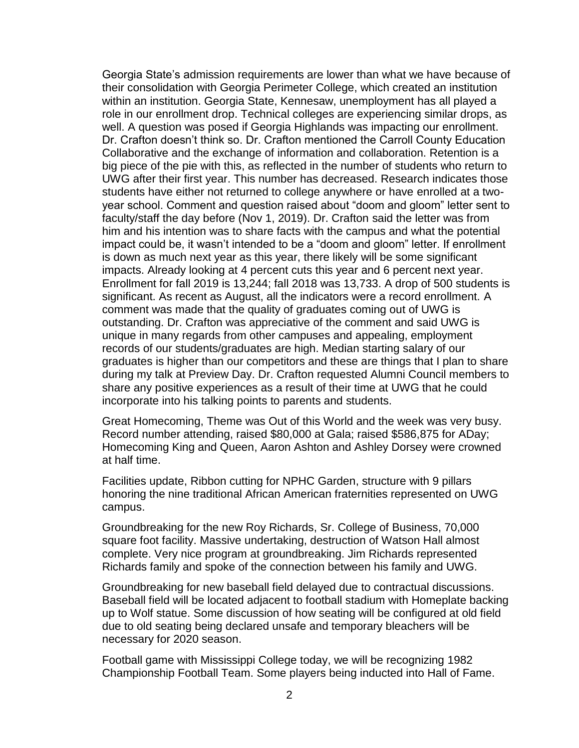Georgia State's admission requirements are lower than what we have because of their consolidation with Georgia Perimeter College, which created an institution within an institution. Georgia State, Kennesaw, unemployment has all played a role in our enrollment drop. Technical colleges are experiencing similar drops, as well. A question was posed if Georgia Highlands was impacting our enrollment. Dr. Crafton doesn't think so. Dr. Crafton mentioned the Carroll County Education Collaborative and the exchange of information and collaboration. Retention is a big piece of the pie with this, as reflected in the number of students who return to UWG after their first year. This number has decreased. Research indicates those students have either not returned to college anywhere or have enrolled at a twoyear school. Comment and question raised about "doom and gloom" letter sent to faculty/staff the day before (Nov 1, 2019). Dr. Crafton said the letter was from him and his intention was to share facts with the campus and what the potential impact could be, it wasn't intended to be a "doom and gloom" letter. If enrollment is down as much next year as this year, there likely will be some significant impacts. Already looking at 4 percent cuts this year and 6 percent next year. Enrollment for fall 2019 is 13,244; fall 2018 was 13,733. A drop of 500 students is significant. As recent as August, all the indicators were a record enrollment. A comment was made that the quality of graduates coming out of UWG is outstanding. Dr. Crafton was appreciative of the comment and said UWG is unique in many regards from other campuses and appealing, employment records of our students/graduates are high. Median starting salary of our graduates is higher than our competitors and these are things that I plan to share during my talk at Preview Day. Dr. Crafton requested Alumni Council members to share any positive experiences as a result of their time at UWG that he could incorporate into his talking points to parents and students.

Great Homecoming, Theme was Out of this World and the week was very busy. Record number attending, raised \$80,000 at Gala; raised \$586,875 for ADay; Homecoming King and Queen, Aaron Ashton and Ashley Dorsey were crowned at half time.

Facilities update, Ribbon cutting for NPHC Garden, structure with 9 pillars honoring the nine traditional African American fraternities represented on UWG campus.

Groundbreaking for the new Roy Richards, Sr. College of Business, 70,000 square foot facility. Massive undertaking, destruction of Watson Hall almost complete. Very nice program at groundbreaking. Jim Richards represented Richards family and spoke of the connection between his family and UWG.

Groundbreaking for new baseball field delayed due to contractual discussions. Baseball field will be located adjacent to football stadium with Homeplate backing up to Wolf statue. Some discussion of how seating will be configured at old field due to old seating being declared unsafe and temporary bleachers will be necessary for 2020 season.

Football game with Mississippi College today, we will be recognizing 1982 Championship Football Team. Some players being inducted into Hall of Fame.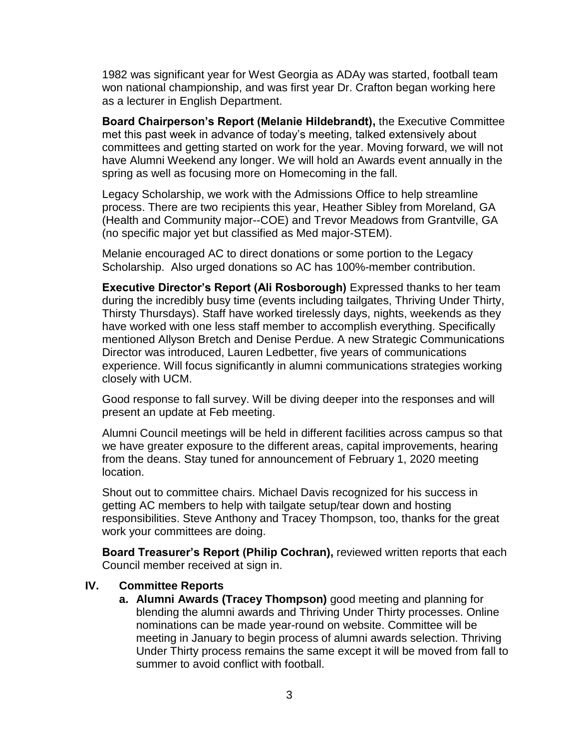1982 was significant year for West Georgia as ADAy was started, football team won national championship, and was first year Dr. Crafton began working here as a lecturer in English Department.

**Board Chairperson's Report (Melanie Hildebrandt),** the Executive Committee met this past week in advance of today's meeting, talked extensively about committees and getting started on work for the year. Moving forward, we will not have Alumni Weekend any longer. We will hold an Awards event annually in the spring as well as focusing more on Homecoming in the fall.

Legacy Scholarship, we work with the Admissions Office to help streamline process. There are two recipients this year, Heather Sibley from Moreland, GA (Health and Community major--COE) and Trevor Meadows from Grantville, GA (no specific major yet but classified as Med major-STEM).

Melanie encouraged AC to direct donations or some portion to the Legacy Scholarship. Also urged donations so AC has 100%-member contribution.

**Executive Director's Report (Ali Rosborough)** Expressed thanks to her team during the incredibly busy time (events including tailgates, Thriving Under Thirty, Thirsty Thursdays). Staff have worked tirelessly days, nights, weekends as they have worked with one less staff member to accomplish everything. Specifically mentioned Allyson Bretch and Denise Perdue. A new Strategic Communications Director was introduced, Lauren Ledbetter, five years of communications experience. Will focus significantly in alumni communications strategies working closely with UCM.

Good response to fall survey. Will be diving deeper into the responses and will present an update at Feb meeting.

Alumni Council meetings will be held in different facilities across campus so that we have greater exposure to the different areas, capital improvements, hearing from the deans. Stay tuned for announcement of February 1, 2020 meeting location.

Shout out to committee chairs. Michael Davis recognized for his success in getting AC members to help with tailgate setup/tear down and hosting responsibilities. Steve Anthony and Tracey Thompson, too, thanks for the great work your committees are doing.

**Board Treasurer's Report (Philip Cochran),** reviewed written reports that each Council member received at sign in.

### **IV. Committee Reports**

**a. Alumni Awards (Tracey Thompson)** good meeting and planning for blending the alumni awards and Thriving Under Thirty processes. Online nominations can be made year-round on website. Committee will be meeting in January to begin process of alumni awards selection. Thriving Under Thirty process remains the same except it will be moved from fall to summer to avoid conflict with football.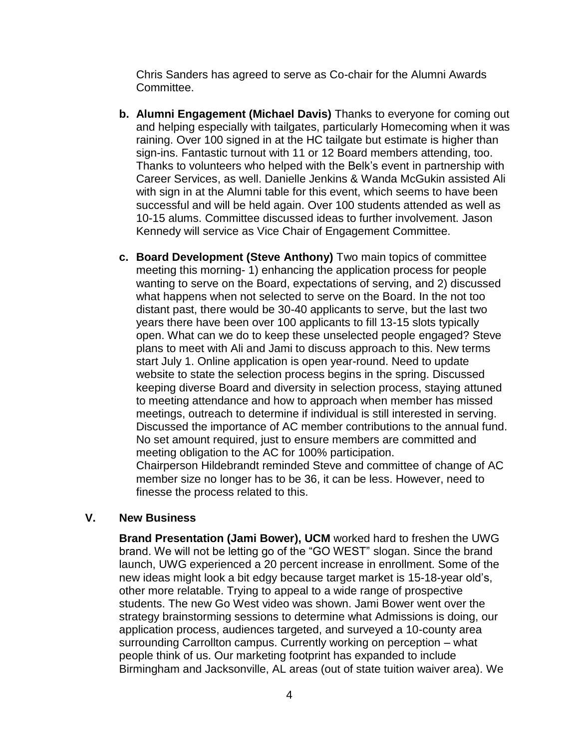Chris Sanders has agreed to serve as Co-chair for the Alumni Awards Committee.

- **b. Alumni Engagement (Michael Davis)** Thanks to everyone for coming out and helping especially with tailgates, particularly Homecoming when it was raining. Over 100 signed in at the HC tailgate but estimate is higher than sign-ins. Fantastic turnout with 11 or 12 Board members attending, too. Thanks to volunteers who helped with the Belk's event in partnership with Career Services, as well. Danielle Jenkins & Wanda McGukin assisted Ali with sign in at the Alumni table for this event, which seems to have been successful and will be held again. Over 100 students attended as well as 10-15 alums. Committee discussed ideas to further involvement. Jason Kennedy will service as Vice Chair of Engagement Committee.
- **c. Board Development (Steve Anthony)** Two main topics of committee meeting this morning- 1) enhancing the application process for people wanting to serve on the Board, expectations of serving, and 2) discussed what happens when not selected to serve on the Board. In the not too distant past, there would be 30-40 applicants to serve, but the last two years there have been over 100 applicants to fill 13-15 slots typically open. What can we do to keep these unselected people engaged? Steve plans to meet with Ali and Jami to discuss approach to this. New terms start July 1. Online application is open year-round. Need to update website to state the selection process begins in the spring. Discussed keeping diverse Board and diversity in selection process, staying attuned to meeting attendance and how to approach when member has missed meetings, outreach to determine if individual is still interested in serving. Discussed the importance of AC member contributions to the annual fund. No set amount required, just to ensure members are committed and meeting obligation to the AC for 100% participation.

Chairperson Hildebrandt reminded Steve and committee of change of AC member size no longer has to be 36, it can be less. However, need to finesse the process related to this.

### **V. New Business**

**Brand Presentation (Jami Bower), UCM** worked hard to freshen the UWG brand. We will not be letting go of the "GO WEST" slogan. Since the brand launch, UWG experienced a 20 percent increase in enrollment. Some of the new ideas might look a bit edgy because target market is 15-18-year old's, other more relatable. Trying to appeal to a wide range of prospective students. The new Go West video was shown. Jami Bower went over the strategy brainstorming sessions to determine what Admissions is doing, our application process, audiences targeted, and surveyed a 10-county area surrounding Carrollton campus. Currently working on perception – what people think of us. Our marketing footprint has expanded to include Birmingham and Jacksonville, AL areas (out of state tuition waiver area). We